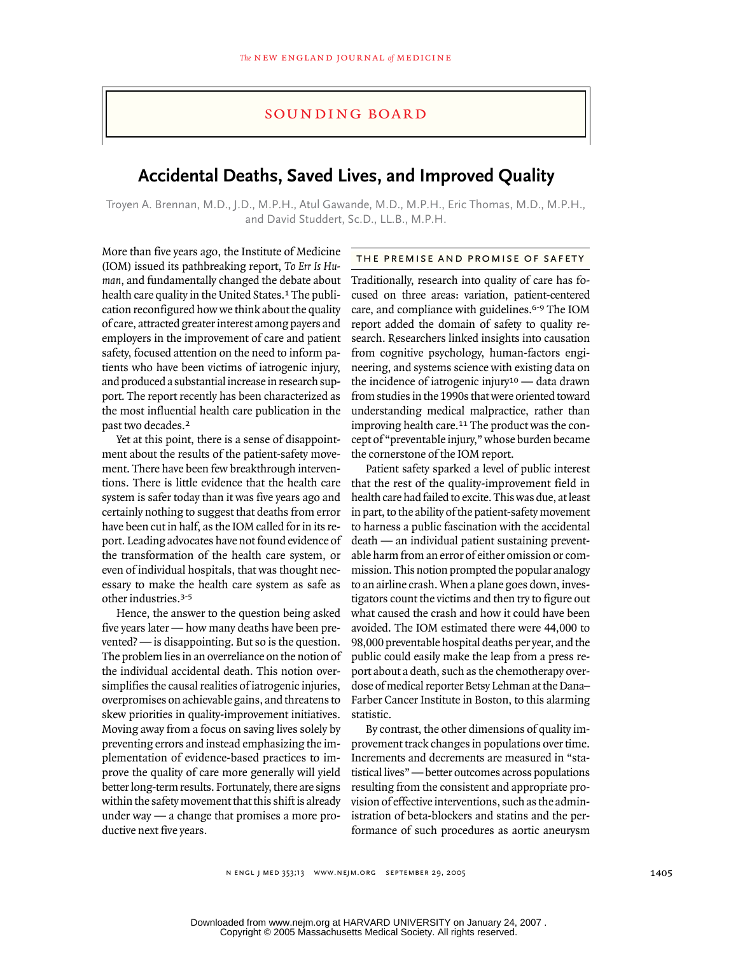### sounding board

# **Accidental Deaths, Saved Lives, and Improved Quality**

Troyen A. Brennan, M.D., J.D., M.P.H., Atul Gawande, M.D., M.P.H., Eric Thomas, M.D., M.P.H., and David Studdert, Sc.D., LL.B., M.P.H.

More than five years ago, the Institute of Medicine (IOM) issued its pathbreaking report, *To Err Is Human,* and fundamentally changed the debate about health care quality in the United States.<sup>1</sup> The publication reconfigured how we think about the quality of care, attracted greater interest among payers and employers in the improvement of care and patient safety, focused attention on the need to inform patients who have been victims of iatrogenic injury, and produced a substantial increase in research support. The report recently has been characterized as the most influential health care publication in the past two decades.<sup>2</sup>

Yet at this point, there is a sense of disappointment about the results of the patient-safety movement. There have been few breakthrough interventions. There is little evidence that the health care system is safer today than it was five years ago and certainly nothing to suggest that deaths from error have been cut in half, as the IOM called for in its report. Leading advocates have not found evidence of the transformation of the health care system, or even of individual hospitals, that was thought necessary to make the health care system as safe as other industries.3-5

Hence, the answer to the question being asked five years later — how many deaths have been prevented? — is disappointing. But so is the question. The problem lies in an overreliance on the notion of the individual accidental death. This notion oversimplifies the causal realities of iatrogenic injuries, overpromises on achievable gains, and threatens to skew priorities in quality-improvement initiatives. Moving away from a focus on saving lives solely by preventing errors and instead emphasizing the implementation of evidence-based practices to improve the quality of care more generally will yield better long-term results. Fortunately, there are signs within the safety movement that this shift is already under way — a change that promises a more productive next five years.

#### the premise and promise of safety

Traditionally, research into quality of care has focused on three areas: variation, patient-centered care, and compliance with guidelines.<sup>6-9</sup> The IOM report added the domain of safety to quality research. Researchers linked insights into causation from cognitive psychology, human-factors engineering, and systems science with existing data on the incidence of iatrogenic injury<sup>10</sup> — data drawn from studies in the 1990s that were oriented toward understanding medical malpractice, rather than improving health care.<sup>11</sup> The product was the concept of "preventable injury," whose burden became the cornerstone of the IOM report.

Patient safety sparked a level of public interest that the rest of the quality-improvement field in health care had failed to excite. This was due, at least in part, to the ability of the patient-safety movement to harness a public fascination with the accidental death — an individual patient sustaining preventable harm from an error of either omission or commission. This notion prompted the popular analogy to an airline crash. When a plane goes down, investigators count the victims and then try to figure out what caused the crash and how it could have been avoided. The IOM estimated there were 44,000 to 98,000 preventable hospital deaths per year, and the public could easily make the leap from a press report about a death, such as the chemotherapy overdose of medical reporter Betsy Lehman at the Dana– Farber Cancer Institute in Boston, to this alarming statistic.

By contrast, the other dimensions of quality improvement track changes in populations over time. Increments and decrements are measured in "statistical lives" — better outcomes across populations resulting from the consistent and appropriate provision of effective interventions, such as the administration of beta-blockers and statins and the performance of such procedures as aortic aneurysm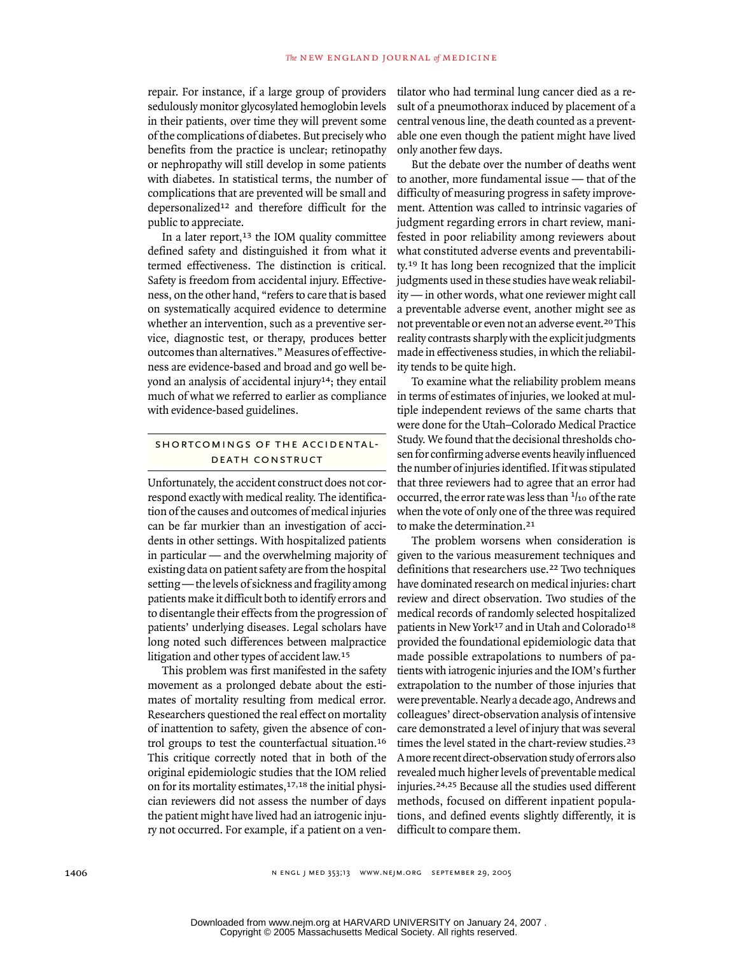repair. For instance, if a large group of providers sedulously monitor glycosylated hemoglobin levels in their patients, over time they will prevent some of the complications of diabetes. But precisely who benefits from the practice is unclear; retinopathy or nephropathy will still develop in some patients with diabetes. In statistical terms, the number of complications that are prevented will be small and depersonalized12 and therefore difficult for the public to appreciate.

In a later report,<sup>13</sup> the IOM quality committee defined safety and distinguished it from what it termed effectiveness. The distinction is critical. Safety is freedom from accidental injury. Effectiveness, on the other hand, "refers to care that is based on systematically acquired evidence to determine whether an intervention, such as a preventive service, diagnostic test, or therapy, produces better outcomes than alternatives." Measures of effectiveness are evidence-based and broad and go well beyond an analysis of accidental injury14; they entail much of what we referred to earlier as compliance with evidence-based guidelines.

#### shortcomings of the accidentaldeath construct

Unfortunately, the accident construct does not correspond exactly with medical reality. The identification of the causes and outcomes of medical injuries can be far murkier than an investigation of accidents in other settings. With hospitalized patients in particular — and the overwhelming majority of existing data on patient safety are from the hospital setting — the levels of sickness and fragility among patients make it difficult both to identify errors and to disentangle their effects from the progression of patients' underlying diseases. Legal scholars have long noted such differences between malpractice litigation and other types of accident law.<sup>15</sup>

This problem was first manifested in the safety movement as a prolonged debate about the estimates of mortality resulting from medical error. Researchers questioned the real effect on mortality of inattention to safety, given the absence of control groups to test the counterfactual situation.<sup>16</sup> This critique correctly noted that in both of the original epidemiologic studies that the IOM relied on for its mortality estimates,17,18 the initial physician reviewers did not assess the number of days the patient might have lived had an iatrogenic injury not occurred. For example, if a patient on a ventilator who had terminal lung cancer died as a result of a pneumothorax induced by placement of a central venous line, the death counted as a preventable one even though the patient might have lived only another few days.

But the debate over the number of deaths went to another, more fundamental issue — that of the difficulty of measuring progress in safety improvement. Attention was called to intrinsic vagaries of judgment regarding errors in chart review, manifested in poor reliability among reviewers about what constituted adverse events and preventability.19 It has long been recognized that the implicit judgments used in these studies have weak reliability — in other words, what one reviewer might call a preventable adverse event, another might see as not preventable or even not an adverse event.20 This reality contrasts sharply with the explicit judgments made in effectiveness studies, in which the reliability tends to be quite high.

To examine what the reliability problem means in terms of estimates of injuries, we looked at multiple independent reviews of the same charts that were done for the Utah–Colorado Medical Practice Study. We found that the decisional thresholds chosen for confirming adverse events heavily influenced the number of injuries identified. If it was stipulated that three reviewers had to agree that an error had occurred, the error rate was less than  $1/10$  of the rate when the vote of only one of the three was required to make the determination.<sup>21</sup>

The problem worsens when consideration is given to the various measurement techniques and definitions that researchers use.22 Two techniques have dominated research on medical injuries: chart review and direct observation. Two studies of the medical records of randomly selected hospitalized patients in New York<sup>17</sup> and in Utah and Colorado<sup>18</sup> provided the foundational epidemiologic data that made possible extrapolations to numbers of patients with iatrogenic injuries and the IOM's further extrapolation to the number of those injuries that were preventable. Nearly a decade ago, Andrews and colleagues' direct-observation analysis of intensive care demonstrated a level of injury that was several times the level stated in the chart-review studies.<sup>23</sup> A more recent direct-observation study of errors also revealed much higher levels of preventable medical injuries.24,25 Because all the studies used different methods, focused on different inpatient populations, and defined events slightly differently, it is difficult to compare them.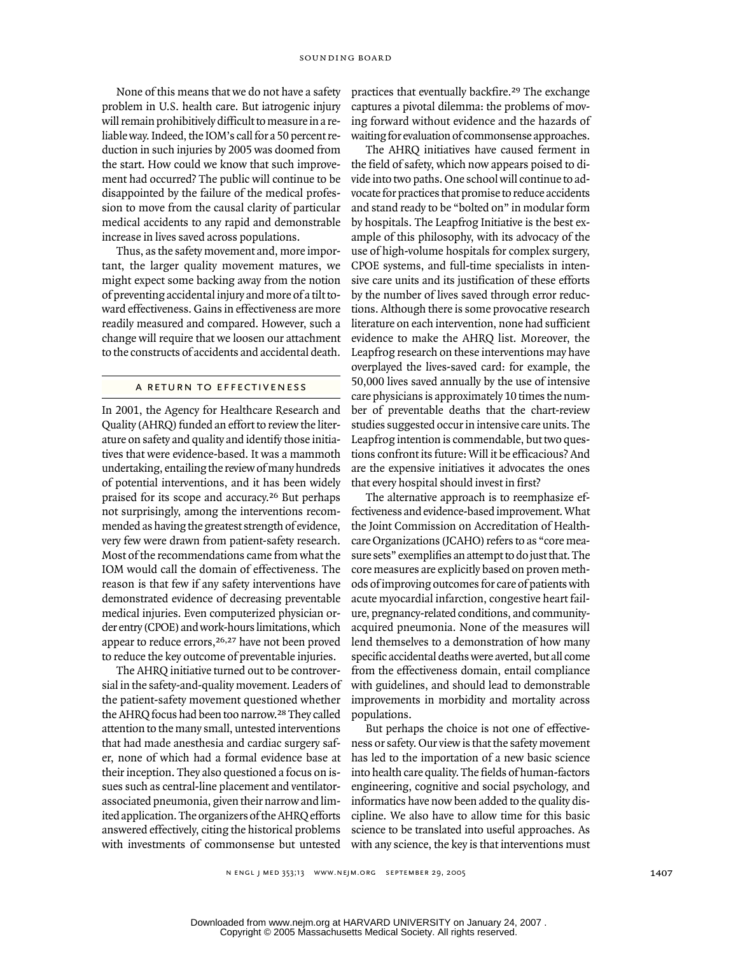None of this means that we do not have a safety problem in U.S. health care. But iatrogenic injury will remain prohibitively difficult to measure in a reliable way. Indeed, the IOM's call for a 50 percent reduction in such injuries by 2005 was doomed from the start. How could we know that such improvement had occurred? The public will continue to be disappointed by the failure of the medical profession to move from the causal clarity of particular medical accidents to any rapid and demonstrable increase in lives saved across populations.

Thus, as the safety movement and, more important, the larger quality movement matures, we might expect some backing away from the notion of preventing accidental injury and more of a tilt toward effectiveness. Gains in effectiveness are more readily measured and compared. However, such a change will require that we loosen our attachment to the constructs of accidents and accidental death.

## a return to effectiveness

In 2001, the Agency for Healthcare Research and Quality (AHRQ) funded an effort to review the literature on safety and quality and identify those initiatives that were evidence-based. It was a mammoth undertaking, entailing the review of many hundreds of potential interventions, and it has been widely praised for its scope and accuracy.26 But perhaps not surprisingly, among the interventions recommended as having the greatest strength of evidence, very few were drawn from patient-safety research. Most of the recommendations came from what the IOM would call the domain of effectiveness. The reason is that few if any safety interventions have demonstrated evidence of decreasing preventable medical injuries. Even computerized physician order entry (CPOE) and work-hours limitations, which appear to reduce errors,<sup>26,27</sup> have not been proved to reduce the key outcome of preventable injuries.

The AHRQ initiative turned out to be controversial in the safety-and-quality movement. Leaders of the patient-safety movement questioned whether the AHRQ focus had been too narrow.28 They called attention to the many small, untested interventions that had made anesthesia and cardiac surgery safer, none of which had a formal evidence base at their inception. They also questioned a focus on issues such as central-line placement and ventilatorassociated pneumonia, given their narrow and limited application. The organizers of the AHRQ efforts answered effectively, citing the historical problems with investments of commonsense but untested

practices that eventually backfire.29 The exchange captures a pivotal dilemma: the problems of moving forward without evidence and the hazards of waiting for evaluation of commonsense approaches.

The AHRQ initiatives have caused ferment in the field of safety, which now appears poised to divide into two paths. One school will continue to advocate for practices that promise to reduce accidents and stand ready to be "bolted on" in modular form by hospitals. The Leapfrog Initiative is the best example of this philosophy, with its advocacy of the use of high-volume hospitals for complex surgery, CPOE systems, and full-time specialists in intensive care units and its justification of these efforts by the number of lives saved through error reductions. Although there is some provocative research literature on each intervention, none had sufficient evidence to make the AHRQ list. Moreover, the Leapfrog research on these interventions may have overplayed the lives-saved card: for example, the 50,000 lives saved annually by the use of intensive care physicians is approximately 10 times the number of preventable deaths that the chart-review studies suggested occur in intensive care units. The Leapfrog intention is commendable, but two questions confront its future: Will it be efficacious? And are the expensive initiatives it advocates the ones that every hospital should invest in first?

The alternative approach is to reemphasize effectiveness and evidence-based improvement. What the Joint Commission on Accreditation of Healthcare Organizations (JCAHO) refers to as "core measure sets" exemplifies an attempt to do just that. The core measures are explicitly based on proven methods of improving outcomes for care of patients with acute myocardial infarction, congestive heart failure, pregnancy-related conditions, and communityacquired pneumonia. None of the measures will lend themselves to a demonstration of how many specific accidental deaths were averted, but all come from the effectiveness domain, entail compliance with guidelines, and should lead to demonstrable improvements in morbidity and mortality across populations.

But perhaps the choice is not one of effectiveness or safety. Our view is that the safety movement has led to the importation of a new basic science into health care quality. The fields of human-factors engineering, cognitive and social psychology, and informatics have now been added to the quality discipline. We also have to allow time for this basic science to be translated into useful approaches. As with any science, the key is that interventions must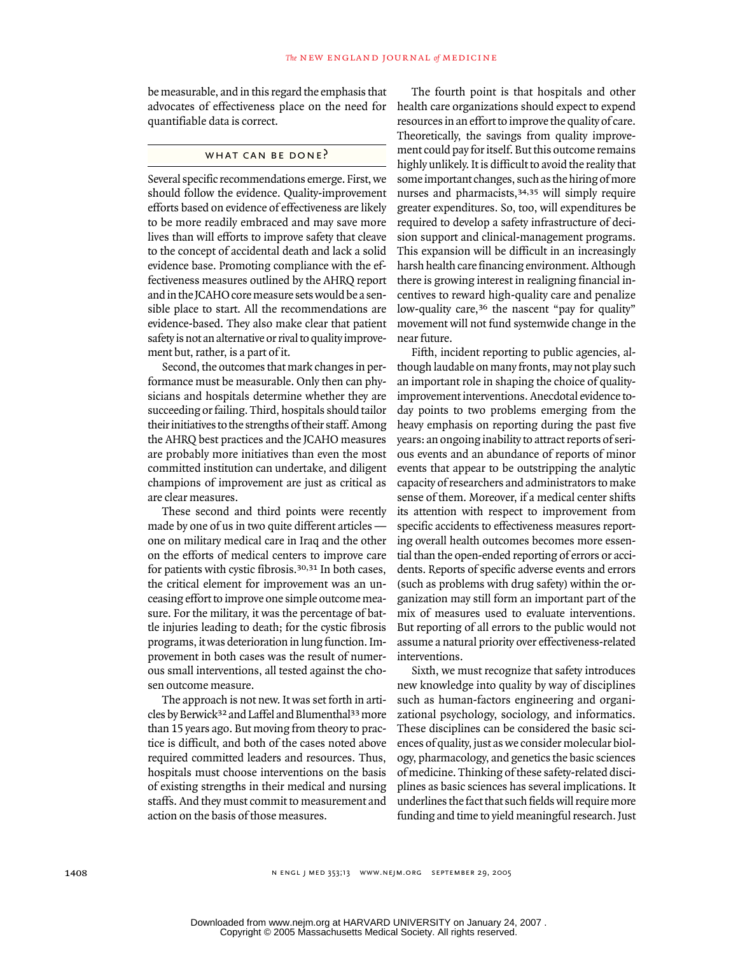be measurable, and in this regard the emphasis that advocates of effectiveness place on the need for quantifiable data is correct.

### WHAT CAN BE DONE?

Several specific recommendations emerge. First, we should follow the evidence. Quality-improvement efforts based on evidence of effectiveness are likely to be more readily embraced and may save more lives than will efforts to improve safety that cleave to the concept of accidental death and lack a solid evidence base. Promoting compliance with the effectiveness measures outlined by the AHRQ report and in the JCAHO core measure sets would be a sensible place to start. All the recommendations are evidence-based. They also make clear that patient safety is not an alternative or rival to quality improvement but, rather, is a part of it.

Second, the outcomes that mark changes in performance must be measurable. Only then can physicians and hospitals determine whether they are succeeding or failing. Third, hospitals should tailor their initiatives to the strengths of their staff. Among the AHRQ best practices and the JCAHO measures are probably more initiatives than even the most committed institution can undertake, and diligent champions of improvement are just as critical as are clear measures.

These second and third points were recently made by one of us in two quite different articles one on military medical care in Iraq and the other on the efforts of medical centers to improve care for patients with cystic fibrosis.30,31 In both cases, the critical element for improvement was an unceasing effort to improve one simple outcome measure. For the military, it was the percentage of battle injuries leading to death; for the cystic fibrosis programs, it was deterioration in lung function. Improvement in both cases was the result of numerous small interventions, all tested against the chosen outcome measure.

The approach is not new. It was set forth in articles by Berwick32 and Laffel and Blumenthal33 more than 15 years ago. But moving from theory to practice is difficult, and both of the cases noted above required committed leaders and resources. Thus, hospitals must choose interventions on the basis of existing strengths in their medical and nursing staffs. And they must commit to measurement and action on the basis of those measures.

The fourth point is that hospitals and other health care organizations should expect to expend resources in an effort to improve the quality of care. Theoretically, the savings from quality improvement could pay for itself. But this outcome remains highly unlikely. It is difficult to avoid the reality that some important changes, such as the hiring of more nurses and pharmacists,34,35 will simply require greater expenditures. So, too, will expenditures be required to develop a safety infrastructure of decision support and clinical-management programs. This expansion will be difficult in an increasingly harsh health care financing environment. Although there is growing interest in realigning financial incentives to reward high-quality care and penalize low-quality care,<sup>36</sup> the nascent "pay for quality" movement will not fund systemwide change in the near future.

Fifth, incident reporting to public agencies, although laudable on many fronts, may not play such an important role in shaping the choice of qualityimprovement interventions. Anecdotal evidence today points to two problems emerging from the heavy emphasis on reporting during the past five years: an ongoing inability to attract reports of serious events and an abundance of reports of minor events that appear to be outstripping the analytic capacity of researchers and administrators to make sense of them. Moreover, if a medical center shifts its attention with respect to improvement from specific accidents to effectiveness measures reporting overall health outcomes becomes more essential than the open-ended reporting of errors or accidents. Reports of specific adverse events and errors (such as problems with drug safety) within the organization may still form an important part of the mix of measures used to evaluate interventions. But reporting of all errors to the public would not assume a natural priority over effectiveness-related interventions.

Sixth, we must recognize that safety introduces new knowledge into quality by way of disciplines such as human-factors engineering and organizational psychology, sociology, and informatics. These disciplines can be considered the basic sciences of quality, just as we consider molecular biology, pharmacology, and genetics the basic sciences of medicine. Thinking of these safety-related disciplines as basic sciences has several implications. It underlines the fact that such fields will require more funding and time to yield meaningful research. Just